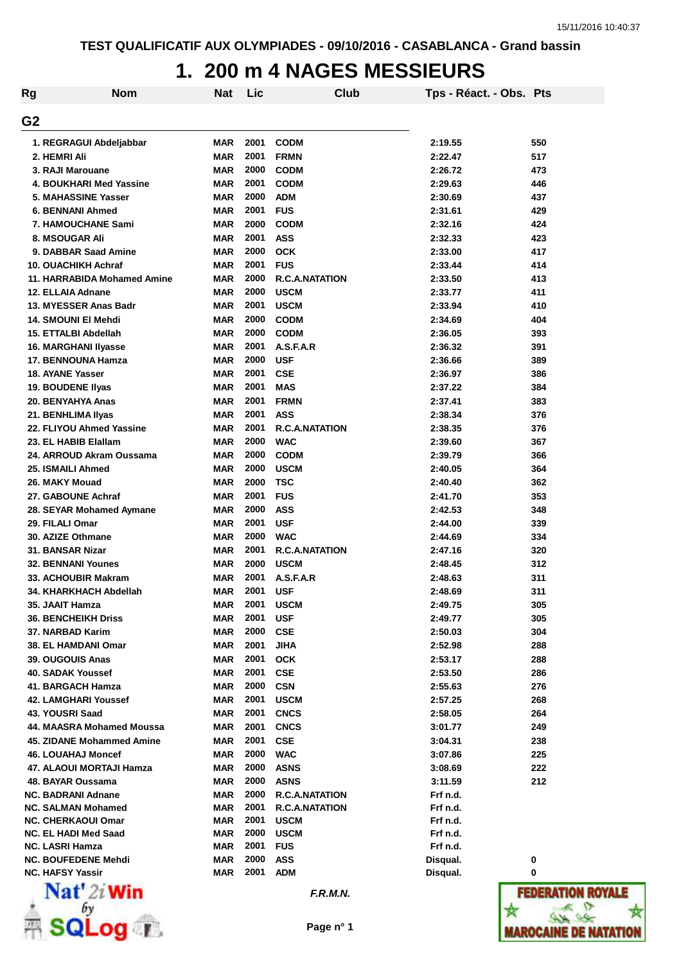# **1. 200 m 4 NAGES MESSIEURS**

| <b>Rg</b>      | <b>Nom</b>                                       | <b>Nat</b>        | Lic          | Club                                | Tps - Réact. - Obs. Pts |            |
|----------------|--------------------------------------------------|-------------------|--------------|-------------------------------------|-------------------------|------------|
| G <sub>2</sub> |                                                  |                   |              |                                     |                         |            |
|                | 1. REGRAGUI Abdeljabbar                          | <b>MAR</b>        | 2001         | <b>CODM</b>                         | 2:19.55                 | 550        |
|                | 2. HEMRI Ali                                     | <b>MAR</b>        | 2001         | <b>FRMN</b>                         | 2:22.47                 | 517        |
|                | 3. RAJI Marouane                                 | <b>MAR</b>        | 2000         | <b>CODM</b>                         | 2:26.72                 | 473        |
|                | <b>4. BOUKHARI Med Yassine</b>                   | <b>MAR</b>        | 2001         | <b>CODM</b>                         | 2:29.63                 | 446        |
|                | 5. MAHASSINE Yasser                              | <b>MAR</b>        | 2000         | <b>ADM</b>                          | 2:30.69                 | 437        |
|                | <b>6. BENNANI Ahmed</b>                          | <b>MAR</b>        | 2001         | <b>FUS</b>                          | 2:31.61                 | 429        |
|                | 7. HAMOUCHANE Sami                               | <b>MAR</b>        | 2000         | <b>CODM</b>                         | 2:32.16                 | 424        |
|                | 8. MSOUGAR Ali                                   | <b>MAR</b>        | 2001         | <b>ASS</b>                          | 2:32.33                 | 423        |
|                | 9. DABBAR Saad Amine                             | <b>MAR</b>        | 2000         | <b>OCK</b>                          | 2:33.00                 | 417        |
|                | 10. OUACHIKH Achraf                              | <b>MAR</b>        | 2001         | <b>FUS</b>                          | 2:33.44                 | 414        |
|                | 11. HARRABIDA Mohamed Amine                      | <b>MAR</b>        | 2000         | <b>R.C.A.NATATION</b>               | 2:33.50                 | 413        |
|                | 12. ELLAIA Adnane                                | <b>MAR</b>        | 2000         | <b>USCM</b>                         | 2:33.77                 | 411        |
|                | 13. MYESSER Anas Badr                            | <b>MAR</b>        | 2001         | <b>USCM</b>                         | 2:33.94                 | 410        |
|                | 14. SMOUNI EI Mehdi                              | <b>MAR</b>        | 2000         | <b>CODM</b>                         | 2:34.69                 | 404        |
|                | 15. ETTALBI Abdellah                             | <b>MAR</b>        | 2000         | <b>CODM</b>                         | 2:36.05                 | 393        |
|                | 16. MARGHANI Ilyasse                             | <b>MAR</b>        | 2001         | A.S.F.A.R                           | 2:36.32                 | 391        |
|                | <b>17. BENNOUNA Hamza</b>                        | <b>MAR</b>        | 2000         | <b>USF</b>                          | 2:36.66                 | 389        |
|                | 18. AYANE Yasser                                 | <b>MAR</b>        | 2001         | <b>CSE</b>                          | 2:36.97                 | 386        |
|                | 19. BOUDENE Ilyas                                | <b>MAR</b>        | 2001         | <b>MAS</b>                          | 2:37.22                 | 384        |
|                | 20. BENYAHYA Anas                                | <b>MAR</b>        | 2001         | <b>FRMN</b>                         | 2:37.41                 | 383        |
|                | 21. BENHLIMA IIyas                               | <b>MAR</b>        | 2001         | <b>ASS</b>                          | 2:38.34                 | 376        |
|                | 22. FLIYOU Ahmed Yassine                         | <b>MAR</b>        | 2001         | <b>R.C.A.NATATION</b>               | 2:38.35                 | 376        |
|                | 23. EL HABIB Elallam                             | <b>MAR</b>        | 2000         | <b>WAC</b>                          | 2:39.60                 | 367        |
|                | 24. ARROUD Akram Oussama                         | <b>MAR</b>        | 2000         | <b>CODM</b>                         | 2:39.79                 | 366        |
|                | 25. ISMAILI Ahmed                                | <b>MAR</b>        | 2000         | <b>USCM</b>                         | 2:40.05                 | 364        |
|                | 26. MAKY Mouad                                   | <b>MAR</b>        | 2000         | <b>TSC</b>                          | 2:40.40                 | 362        |
|                | 27. GABOUNE Achraf                               | <b>MAR</b>        | 2001         | <b>FUS</b>                          | 2:41.70                 | 353        |
|                | 28. SEYAR Mohamed Aymane                         | <b>MAR</b>        | 2000         | <b>ASS</b>                          | 2:42.53                 | 348        |
|                | 29. FILALI Omar                                  | <b>MAR</b>        | 2001<br>2000 | <b>USF</b>                          | 2:44.00                 | 339        |
|                | 30. AZIZE Othmane                                | <b>MAR</b>        | 2001         | <b>WAC</b><br><b>R.C.A.NATATION</b> | 2:44.69                 | 334        |
|                | 31. BANSAR Nizar                                 | <b>MAR</b>        | 2000         | <b>USCM</b>                         | 2:47.16                 | 320        |
|                | <b>32. BENNANI Younes</b><br>33. ACHOUBIR Makram | <b>MAR</b><br>MAR | 2001         | A.S.F.A.R                           | 2:48.45<br>2:48.63      | 312<br>311 |
|                | 34. KHARKHACH Abdellah                           | <b>MAR</b>        | 2001         | <b>USF</b>                          | 2:48.69                 | 311        |
|                | 35. JAAIT Hamza                                  | MAR               | 2001         | <b>USCM</b>                         | 2:49.75                 | 305        |
|                | <b>36. BENCHEIKH Driss</b>                       | MAR               | 2001         | <b>USF</b>                          | 2:49.77                 | 305        |
|                | 37. NARBAD Karim                                 | MAR               | 2000         | <b>CSE</b>                          | 2:50.03                 | 304        |
|                | <b>38. EL HAMDANI Omar</b>                       | MAR               | 2001         | <b>JIHA</b>                         | 2:52.98                 | 288        |
|                | 39. OUGOUIS Anas                                 | <b>MAR</b>        | 2001         | <b>OCK</b>                          | 2:53.17                 | 288        |
|                | <b>40. SADAK Youssef</b>                         | <b>MAR</b>        | 2001         | <b>CSE</b>                          | 2:53.50                 | 286        |
|                | 41. BARGACH Hamza                                | <b>MAR</b>        | 2000         | <b>CSN</b>                          | 2:55.63                 | 276        |
|                | 42. LAMGHARI Youssef                             | <b>MAR</b>        | 2001         | <b>USCM</b>                         | 2:57.25                 | 268        |
|                | 43. YOUSRI Saad                                  | <b>MAR</b>        | 2001         | <b>CNCS</b>                         | 2:58.05                 | 264        |
|                | 44. MAASRA Mohamed Moussa                        | <b>MAR</b>        | 2001         | <b>CNCS</b>                         | 3:01.77                 | 249        |
|                | 45. ZIDANE Mohammed Amine                        | <b>MAR</b>        | 2001         | <b>CSE</b>                          | 3:04.31                 | 238        |
|                | <b>46. LOUAHAJ Moncef</b>                        | MAR               | 2000         | <b>WAC</b>                          | 3:07.86                 | 225        |
|                | 47. ALAOUI MORTAJI Hamza                         | <b>MAR</b>        | 2000         | <b>ASNS</b>                         | 3:08.69                 | 222        |
|                | 48. BAYAR Oussama                                | <b>MAR</b>        | 2000         | <b>ASNS</b>                         | 3:11.59                 | 212        |
|                | <b>NC. BADRANI Adnane</b>                        | <b>MAR</b>        | 2000         | <b>R.C.A.NATATION</b>               | Frf n.d.                |            |
|                | <b>NC. SALMAN Mohamed</b>                        | <b>MAR</b>        | 2001         | <b>R.C.A.NATATION</b>               | Frf n.d.                |            |
|                | <b>NC. CHERKAOUI Omar</b>                        | MAR               | 2001         | <b>USCM</b>                         | Frf n.d.                |            |
|                | <b>NC. EL HADI Med Saad</b>                      | <b>MAR</b>        | 2000         | <b>USCM</b>                         | Frf n.d.                |            |
|                | <b>NC. LASRI Hamza</b>                           | MAR               | 2001         | <b>FUS</b>                          | Frf n.d.                |            |
|                | <b>NC. BOUFEDENE Mehdi</b>                       | MAR               | 2000         | ASS                                 | Disqual.                | 0          |
|                | <b>NC. HAFSY Yassir</b>                          | MAR               | 2001         | <b>ADM</b>                          | Disqual.                | 0          |
|                | $NT = 4!$ $0$ $ $ $ $ $ $ $ $                    |                   |              |                                     |                         |            |



**F.R.M.N.**

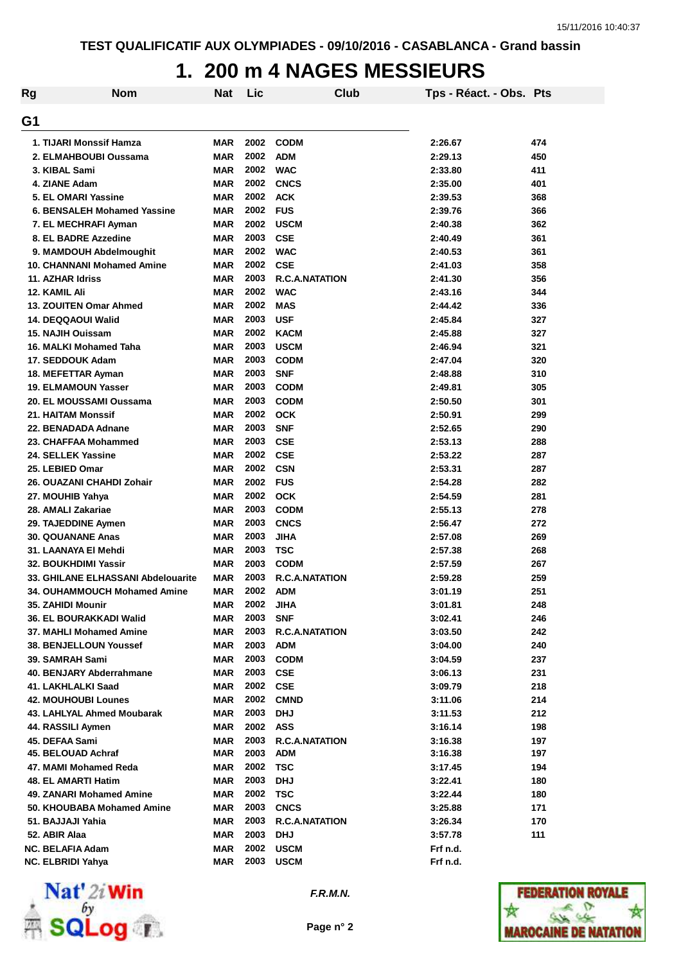### **1. 200 m 4 NAGES MESSIEURS**

| Rg | <b>Nom</b>                         | <b>Nat</b> | Lic  | Club                  | Tps - Réact. - Obs. Pts |     |
|----|------------------------------------|------------|------|-----------------------|-------------------------|-----|
| G1 |                                    |            |      |                       |                         |     |
|    | 1. TIJARI Monssif Hamza            | <b>MAR</b> | 2002 | <b>CODM</b>           | 2:26.67                 | 474 |
|    | 2. ELMAHBOUBI Oussama              | MAR        | 2002 | <b>ADM</b>            | 2:29.13                 | 450 |
|    | 3. KIBAL Sami                      | <b>MAR</b> | 2002 | <b>WAC</b>            | 2:33.80                 | 411 |
|    | 4. ZIANE Adam                      | <b>MAR</b> | 2002 | <b>CNCS</b>           | 2:35.00                 | 401 |
|    | 5. EL OMARI Yassine                | MAR        | 2002 | <b>ACK</b>            | 2:39.53                 | 368 |
|    | 6. BENSALEH Mohamed Yassine        | <b>MAR</b> | 2002 | <b>FUS</b>            | 2:39.76                 | 366 |
|    | 7. EL MECHRAFI Ayman               | MAR        | 2002 | <b>USCM</b>           | 2:40.38                 | 362 |
|    | 8. EL BADRE Azzedine               | MAR        | 2003 | <b>CSE</b>            | 2:40.49                 | 361 |
|    | 9. MAMDOUH Abdelmoughit            | MAR        | 2002 | <b>WAC</b>            | 2:40.53                 | 361 |
|    | 10. CHANNANI Mohamed Amine         | MAR        | 2002 | <b>CSE</b>            | 2:41.03                 | 358 |
|    | 11. AZHAR Idriss                   | MAR        | 2003 | <b>R.C.A.NATATION</b> | 2:41.30                 | 356 |
|    | 12. KAMIL Ali                      | MAR        | 2002 | <b>WAC</b>            | 2:43.16                 | 344 |
|    | <b>13. ZOUITEN Omar Ahmed</b>      | MAR        | 2002 | <b>MAS</b>            | 2:44.42                 | 336 |
|    | 14. DEQQAOUI Walid                 | <b>MAR</b> | 2003 | <b>USF</b>            | 2:45.84                 | 327 |
|    | 15. NAJIH Ouissam                  | <b>MAR</b> | 2002 | <b>KACM</b>           | 2:45.88                 | 327 |
|    | 16. MALKI Mohamed Taha             | <b>MAR</b> | 2003 | <b>USCM</b>           | 2:46.94                 | 321 |
|    | 17. SEDDOUK Adam                   | <b>MAR</b> | 2003 | <b>CODM</b>           | 2:47.04                 | 320 |
|    | 18. MEFETTAR Ayman                 | <b>MAR</b> | 2003 | <b>SNF</b>            | 2:48.88                 | 310 |
|    | <b>19. ELMAMOUN Yasser</b>         | <b>MAR</b> | 2003 | <b>CODM</b>           | 2:49.81                 | 305 |
|    | 20. EL MOUSSAMI Oussama            | <b>MAR</b> | 2003 | <b>CODM</b>           | 2:50.50                 | 301 |
|    | <b>21. HAITAM Monssif</b>          | <b>MAR</b> | 2002 | <b>OCK</b>            | 2:50.91                 | 299 |
|    | 22. BENADADA Adnane                | <b>MAR</b> | 2003 | <b>SNF</b>            | 2:52.65                 | 290 |
|    | 23. CHAFFAA Mohammed               | <b>MAR</b> | 2003 | <b>CSE</b>            | 2:53.13                 | 288 |
|    | 24. SELLEK Yassine                 | <b>MAR</b> | 2002 | <b>CSE</b>            | 2:53.22                 | 287 |
|    | 25. LEBIED Omar                    | MAR        | 2002 | <b>CSN</b>            | 2:53.31                 | 287 |
|    | 26. OUAZANI CHAHDI Zohair          | <b>MAR</b> | 2002 | <b>FUS</b>            | 2:54.28                 | 282 |
|    | 27. MOUHIB Yahya                   | <b>MAR</b> | 2002 | <b>OCK</b>            | 2:54.59                 | 281 |
|    | 28. AMALI Zakariae                 | <b>MAR</b> | 2003 | <b>CODM</b>           | 2:55.13                 | 278 |
|    | 29. TAJEDDINE Aymen                | <b>MAR</b> | 2003 | <b>CNCS</b>           | 2:56.47                 | 272 |
|    | 30. QOUANANE Anas                  | <b>MAR</b> | 2003 | <b>JIHA</b>           | 2:57.08                 | 269 |
|    | 31. LAANAYA EI Mehdi               | <b>MAR</b> | 2003 | <b>TSC</b>            | 2:57.38                 | 268 |
|    | 32. BOUKHDIMI Yassir               | <b>MAR</b> | 2003 | <b>CODM</b>           | 2:57.59                 | 267 |
|    | 33. GHILANE ELHASSANI Abdelouarite | <b>MAR</b> | 2003 | <b>R.C.A.NATATION</b> | 2:59.28                 | 259 |
|    | 34. OUHAMMOUCH Mohamed Amine       | MAR        | 2002 | <b>ADM</b>            | 3:01.19                 | 251 |
|    | <b>35. ZAHIDI Mounir</b>           | MAR        | 2002 | JIHA                  | 3:01.81                 | 248 |
|    | 36. EL BOURAKKADI Walid            | MAR        | 2003 | <b>SNF</b>            | 3:02.41                 | 246 |
|    | 37. MAHLI Mohamed Amine            | MAR        | 2003 | <b>R.C.A.NATATION</b> | 3:03.50                 | 242 |
|    | <b>38. BENJELLOUN Youssef</b>      | MAR        | 2003 | <b>ADM</b>            | 3:04.00                 | 240 |
|    | 39. SAMRAH Sami                    | MAR        | 2003 | <b>CODM</b>           | 3:04.59                 | 237 |
|    | 40. BENJARY Abderrahmane           | MAR        | 2003 | <b>CSE</b>            | 3:06.13                 | 231 |
|    | 41. LAKHLALKI Saad                 | MAR        | 2002 | <b>CSE</b>            | 3:09.79                 | 218 |
|    | <b>42. MOUHOUBI Lounes</b>         | MAR        | 2002 | <b>CMND</b>           | 3:11.06                 | 214 |
|    | 43. LAHLYAL Ahmed Moubarak         | MAR        | 2003 | <b>DHJ</b>            | 3:11.53                 | 212 |
|    | 44. RASSILI Aymen                  | MAR        | 2002 | ASS                   | 3:16.14                 | 198 |
|    | 45. DEFAA Sami                     | MAR        | 2003 | <b>R.C.A.NATATION</b> | 3:16.38                 | 197 |
|    | 45. BELOUAD Achraf                 | MAR        | 2003 | <b>ADM</b>            | 3:16.38                 | 197 |
|    | 47. MAMI Mohamed Reda              | MAR        | 2002 | <b>TSC</b>            | 3:17.45                 | 194 |
|    | 48. EL AMARTI Hatim                | MAR        | 2003 | <b>DHJ</b>            | 3:22.41                 | 180 |
|    | 49. ZANARI Mohamed Amine           | MAR        | 2002 | <b>TSC</b>            | 3:22.44                 | 180 |
|    | 50. KHOUBABA Mohamed Amine         | MAR        | 2003 | <b>CNCS</b>           | 3:25.88                 | 171 |
|    | 51. BAJJAJI Yahia                  | <b>MAR</b> | 2003 | <b>R.C.A.NATATION</b> | 3:26.34                 | 170 |
|    | 52. ABIR Alaa                      | <b>MAR</b> | 2003 | <b>DHJ</b>            | 3:57.78                 | 111 |
|    | <b>NC. BELAFIA Adam</b>            | <b>MAR</b> |      | 2002 USCM             | Frf n.d.                |     |
|    | <b>NC. ELBRIDI Yahya</b>           | <b>MAR</b> | 2003 | <b>USCM</b>           | Frf n.d.                |     |



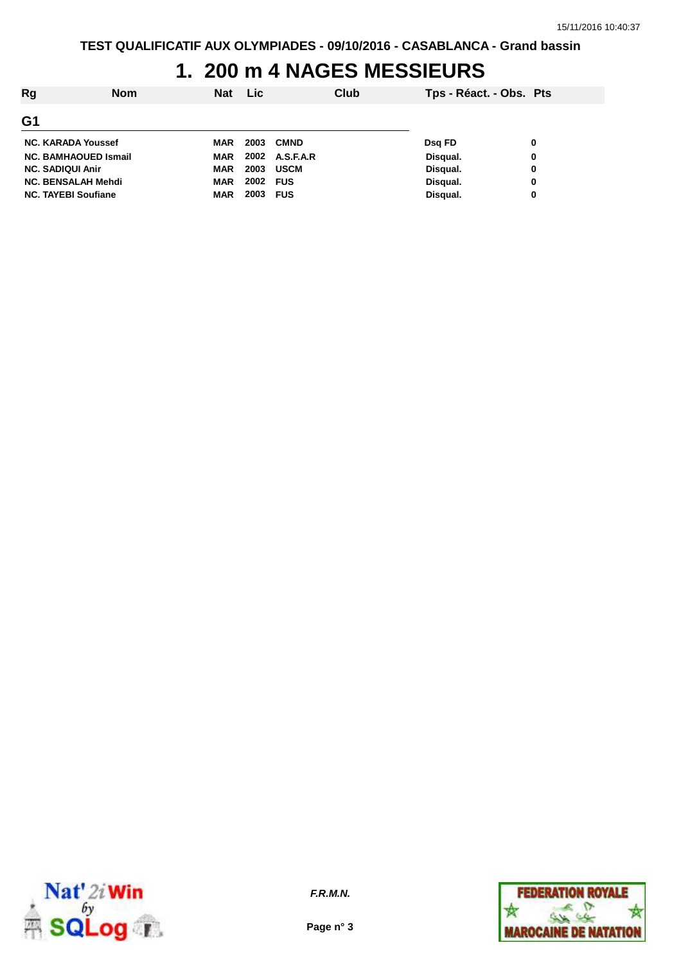#### **1. 200 m 4 NAGES MESSIEURS**

| Rg                          | <b>Nom</b> | <b>Nat</b> | <b>Lic</b> | Club           | Tps - Réact. - Obs. Pts |   |
|-----------------------------|------------|------------|------------|----------------|-------------------------|---|
| G <sub>1</sub>              |            |            |            |                |                         |   |
| <b>NC. KARADA Youssef</b>   |            | MAR        | 2003       | <b>CMND</b>    | Dsg FD                  | 0 |
| <b>NC. BAMHAOUED Ismail</b> |            | MAR        |            | 2002 A.S.F.A.R | Disqual.                | 0 |
| <b>NC. SADIQUI Anir</b>     |            | MAR        | 2003       | <b>USCM</b>    | Disqual.                | 0 |
| <b>NC. BENSALAH Mehdi</b>   |            | MAR        | 2002 FUS   |                | Disqual.                | 0 |
| <b>NC. TAYEBI Soufiane</b>  |            | <b>MAR</b> | 2003 FUS   |                | Disqual.                | 0 |



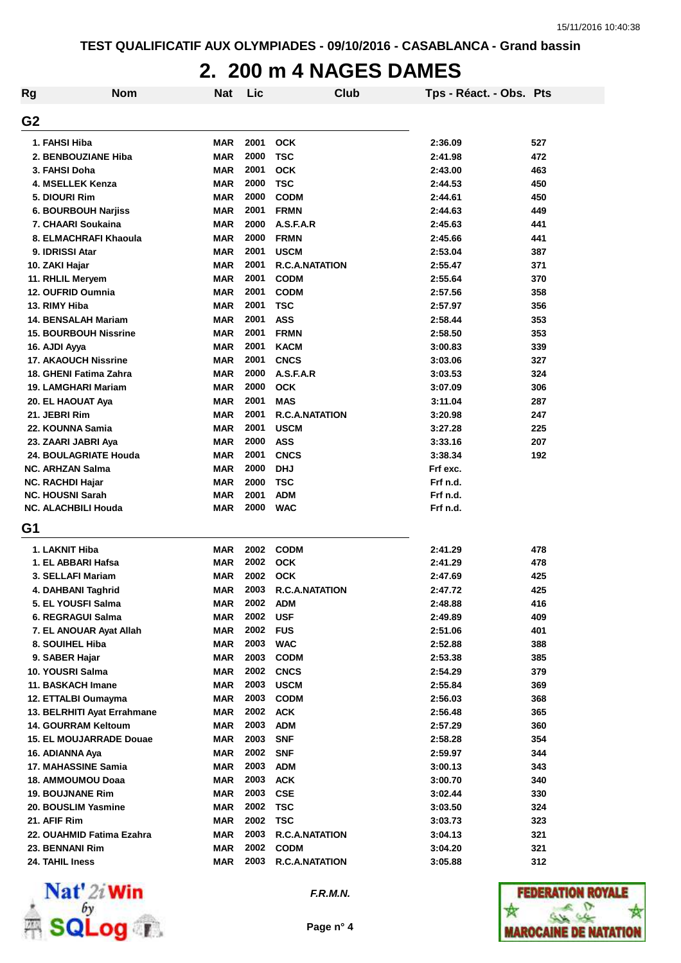#### **2. 200 m 4 NAGES DAMES**

| <b>Rg</b>      | <b>Nom</b>                                            | <b>Nat</b>               | Lic          | Club                      | Tps - Réact. - Obs. Pts |     |
|----------------|-------------------------------------------------------|--------------------------|--------------|---------------------------|-------------------------|-----|
| G <sub>2</sub> |                                                       |                          |              |                           |                         |     |
|                | 1. FAHSI Hiba                                         | <b>MAR</b>               | 2001         | <b>OCK</b>                | 2:36.09                 | 527 |
|                | 2. BENBOUZIANE Hiba                                   | <b>MAR</b>               | 2000         | <b>TSC</b>                | 2:41.98                 | 472 |
|                | 3. FAHSI Doha                                         | <b>MAR</b>               | 2001         | <b>OCK</b>                | 2:43.00                 | 463 |
|                | 4. MSELLEK Kenza                                      | <b>MAR</b>               | 2000         | <b>TSC</b>                | 2:44.53                 | 450 |
|                | 5. DIOURI Rim                                         | <b>MAR</b>               | 2000         | <b>CODM</b>               | 2:44.61                 | 450 |
|                | <b>6. BOURBOUH Narjiss</b>                            | <b>MAR</b>               | 2001         | <b>FRMN</b>               | 2:44.63                 | 449 |
|                | 7. CHAARI Soukaina                                    | <b>MAR</b>               | 2000         | A.S.F.A.R                 | 2:45.63                 | 441 |
|                | 8. ELMACHRAFI Khaoula                                 | <b>MAR</b>               | 2000         | <b>FRMN</b>               | 2:45.66                 | 441 |
|                | 9. IDRISSI Atar                                       | <b>MAR</b>               | 2001         | <b>USCM</b>               | 2:53.04                 | 387 |
|                | 10. ZAKI Hajar                                        | <b>MAR</b>               | 2001         | <b>R.C.A.NATATION</b>     | 2:55.47                 | 371 |
|                | 11. RHLIL Meryem                                      | <b>MAR</b>               | 2001         | <b>CODM</b>               | 2:55.64                 | 370 |
|                | 12. OUFRID Oumnia                                     | <b>MAR</b>               | 2001         | <b>CODM</b>               | 2:57.56                 | 358 |
|                | 13. RIMY Hiba                                         | <b>MAR</b>               | 2001         | <b>TSC</b>                | 2:57.97                 | 356 |
|                | <b>14. BENSALAH Mariam</b>                            | <b>MAR</b>               | 2001         | <b>ASS</b>                | 2:58.44                 | 353 |
|                | <b>15. BOURBOUH Nissrine</b>                          | <b>MAR</b>               | 2001         | <b>FRMN</b>               | 2:58.50                 | 353 |
|                | 16. AJDI Ayya                                         | <b>MAR</b>               | 2001         | <b>KACM</b>               | 3:00.83                 | 339 |
|                | <b>17. AKAOUCH Nissrine</b>                           | <b>MAR</b>               | 2001         | <b>CNCS</b>               | 3:03.06                 | 327 |
|                | 18. GHENI Fatima Zahra                                | <b>MAR</b>               | 2000         | A.S.F.A.R                 | 3:03.53                 | 324 |
|                | 19. LAMGHARI Mariam                                   | <b>MAR</b>               | 2000         | <b>OCK</b>                |                         | 306 |
|                |                                                       | <b>MAR</b>               | 2001         | <b>MAS</b>                | 3:07.09<br>3:11.04      | 287 |
|                | 20. EL HAOUAT Aya                                     |                          | 2001         | <b>R.C.A.NATATION</b>     |                         |     |
|                | 21. JEBRI Rim                                         | <b>MAR</b>               | 2001         |                           | 3:20.98                 | 247 |
|                | 22. KOUNNA Samia                                      | <b>MAR</b>               | 2000         | <b>USCM</b><br><b>ASS</b> | 3:27.28                 | 225 |
|                | 23. ZAARI JABRI Aya                                   | <b>MAR</b>               |              |                           | 3:33.16                 | 207 |
|                | 24. BOULAGRIATE Houda                                 | <b>MAR</b>               | 2001         | <b>CNCS</b>               | 3:38.34                 | 192 |
|                | <b>NC. ARHZAN Salma</b>                               | <b>MAR</b>               | 2000         | <b>DHJ</b>                | Frf exc.                |     |
|                | <b>NC. RACHDI Hajar</b>                               | <b>MAR</b>               | 2000<br>2001 | <b>TSC</b>                | Frf n.d.                |     |
|                | <b>NC. HOUSNI Sarah</b><br><b>NC. ALACHBILI Houda</b> | <b>MAR</b><br><b>MAR</b> | 2000         | <b>ADM</b><br><b>WAC</b>  | Frf n.d.<br>Frf n.d.    |     |
|                |                                                       |                          |              |                           |                         |     |
| G1             |                                                       |                          |              |                           |                         |     |
|                | 1. LAKNIT Hiba                                        | <b>MAR</b>               | 2002         | <b>CODM</b>               | 2:41.29                 | 478 |
|                | 1. EL ABBARI Hafsa                                    | <b>MAR</b>               | 2002         | <b>OCK</b>                | 2:41.29                 | 478 |
|                | 3. SELLAFI Mariam                                     | <b>MAR</b>               | 2002         | <b>OCK</b>                | 2:47.69                 | 425 |
|                | 4. DAHBANI Taghrid                                    | <b>MAR</b>               | 2003         | <b>R.C.A.NATATION</b>     | 2:47.72                 | 425 |
|                | 5. EL YOUSFI Salma                                    | <b>MAR</b>               | 2002         | <b>ADM</b>                | 2:48.88                 | 416 |
|                | 6. REGRAGUI Salma                                     | <b>MAR</b>               | 2002         | <b>USF</b>                | 2:49.89                 | 409 |
|                | 7. EL ANOUAR Ayat Allah                               | <b>MAR</b>               | 2002         | <b>FUS</b>                | 2:51.06                 | 401 |
|                | 8. SOUIHEL Hiba                                       | <b>MAR</b>               | 2003         | <b>WAC</b>                | 2:52.88                 | 388 |
|                | 9. SABER Hajar                                        | <b>MAR</b>               | 2003         | <b>CODM</b>               | 2:53.38                 | 385 |
|                | 10. YOUSRI Salma                                      | <b>MAR</b>               | 2002         | <b>CNCS</b>               | 2:54.29                 | 379 |
|                | 11. BASKACH Imane                                     | <b>MAR</b>               | 2003         | <b>USCM</b>               | 2:55.84                 | 369 |
|                | 12. ETTALBI Oumayma                                   | <b>MAR</b>               | 2003         | <b>CODM</b>               | 2:56.03                 | 368 |
|                | 13. BELRHITI Ayat Errahmane                           | <b>MAR</b>               | 2002         | <b>ACK</b>                | 2:56.48                 | 365 |
|                | <b>14. GOURRAM Keltoum</b>                            | <b>MAR</b>               | 2003         | <b>ADM</b>                | 2:57.29                 | 360 |
|                | <b>15. EL MOUJARRADE Douae</b>                        | <b>MAR</b>               | 2003         | <b>SNF</b>                | 2:58.28                 | 354 |
|                | 16. ADIANNA Aya                                       | <b>MAR</b>               | 2002         | <b>SNF</b>                | 2:59.97                 | 344 |
|                | 17. MAHASSINE Samia                                   | <b>MAR</b>               | 2003         | <b>ADM</b>                | 3:00.13                 | 343 |
|                | 18. AMMOUMOU Doaa                                     | <b>MAR</b>               | 2003         | <b>ACK</b>                | 3:00.70                 | 340 |
|                | <b>19. BOUJNANE Rim</b>                               | <b>MAR</b>               | 2003         | <b>CSE</b>                | 3:02.44                 | 330 |
|                | 20. BOUSLIM Yasmine                                   | <b>MAR</b>               | 2002         | <b>TSC</b>                | 3:03.50                 | 324 |
|                | 21. AFIF Rim                                          | <b>MAR</b>               | 2002         | <b>TSC</b>                | 3:03.73                 | 323 |
|                | 22. OUAHMID Fatima Ezahra                             | <b>MAR</b>               | 2003         | <b>R.C.A.NATATION</b>     | 3:04.13                 | 321 |
|                | 23. BENNANI Rim                                       | <b>MAR</b>               | 2002         | <b>CODM</b>               | 3:04.20                 | 321 |
|                | 24. TAHIL Iness                                       | <b>MAR</b>               | 2003         | <b>R.C.A.NATATION</b>     | 3:05.88                 | 312 |



**F.R.M.N.**

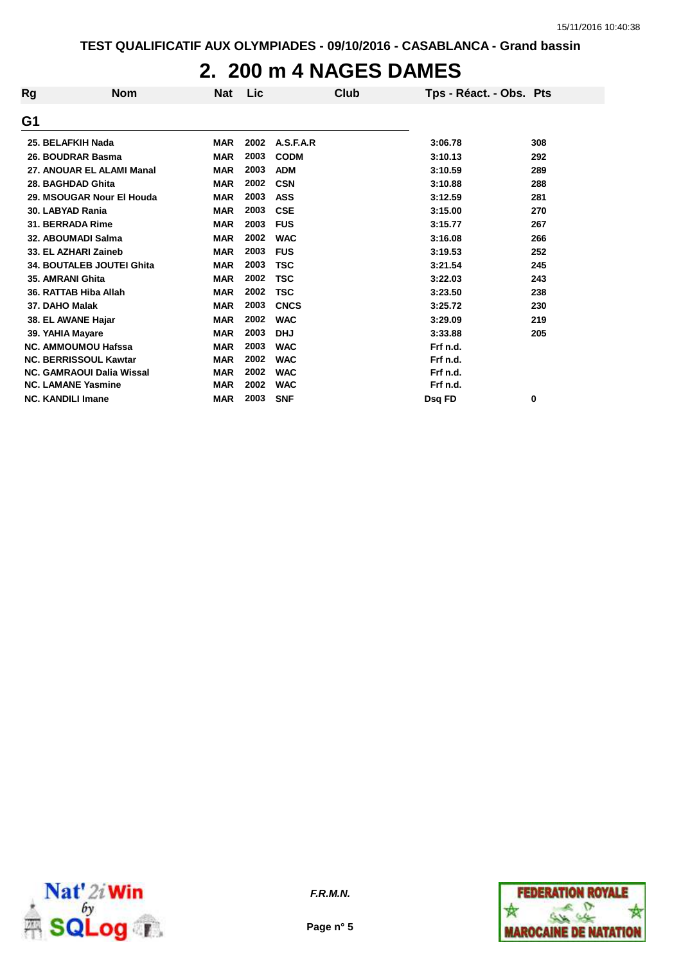#### **2. 200 m 4 NAGES DAMES**

| Rg | <b>Nom</b>                       | <b>Nat</b> | Lic  | Club        | Tps - Réact. - Obs. Pts |     |
|----|----------------------------------|------------|------|-------------|-------------------------|-----|
| G1 |                                  |            |      |             |                         |     |
|    | 25. BELAFKIH Nada                | <b>MAR</b> | 2002 | A.S.F.A.R   | 3:06.78                 | 308 |
|    | 26. BOUDRAR Basma                | <b>MAR</b> | 2003 | <b>CODM</b> | 3:10.13                 | 292 |
|    | 27. ANOUAR EL ALAMI Manal        | <b>MAR</b> | 2003 | <b>ADM</b>  | 3:10.59                 | 289 |
|    | 28. BAGHDAD Ghita                | <b>MAR</b> | 2002 | <b>CSN</b>  | 3:10.88                 | 288 |
|    | 29. MSOUGAR Nour El Houda        | <b>MAR</b> | 2003 | <b>ASS</b>  | 3:12.59                 | 281 |
|    | 30. LABYAD Rania                 | <b>MAR</b> | 2003 | <b>CSE</b>  | 3:15.00                 | 270 |
|    | 31. BERRADA Rime                 | <b>MAR</b> | 2003 | <b>FUS</b>  | 3:15.77                 | 267 |
|    | 32. ABOUMADI Salma               | <b>MAR</b> | 2002 | <b>WAC</b>  | 3:16.08                 | 266 |
|    | 33. EL AZHARI Zaineb             | <b>MAR</b> | 2003 | <b>FUS</b>  | 3:19.53                 | 252 |
|    | <b>34. BOUTALEB JOUTEI Ghita</b> | <b>MAR</b> | 2003 | <b>TSC</b>  | 3:21.54                 | 245 |
|    | 35. AMRANI Ghita                 | <b>MAR</b> | 2002 | <b>TSC</b>  | 3:22.03                 | 243 |
|    | 36. RATTAB Hiba Allah            | <b>MAR</b> | 2002 | <b>TSC</b>  | 3:23.50                 | 238 |
|    | 37. DAHO Malak                   | <b>MAR</b> | 2003 | <b>CNCS</b> | 3:25.72                 | 230 |
|    | 38. EL AWANE Hajar               | <b>MAR</b> | 2002 | <b>WAC</b>  | 3:29.09                 | 219 |
|    | 39. YAHIA Mayare                 | <b>MAR</b> | 2003 | <b>DHJ</b>  | 3:33.88                 | 205 |
|    | <b>NC. AMMOUMOU Hafssa</b>       | <b>MAR</b> | 2003 | <b>WAC</b>  | Frf n.d.                |     |
|    | <b>NC. BERRISSOUL Kawtar</b>     | <b>MAR</b> | 2002 | <b>WAC</b>  | Frf n.d.                |     |
|    | <b>NC. GAMRAOUI Dalia Wissal</b> | <b>MAR</b> | 2002 | <b>WAC</b>  | Frf n.d.                |     |
|    | <b>NC. LAMANE Yasmine</b>        | <b>MAR</b> | 2002 | <b>WAC</b>  | Frf n.d.                |     |
|    | <b>NC. KANDILI Imane</b>         | <b>MAR</b> | 2003 | <b>SNF</b>  | Dsq FD                  | 0   |



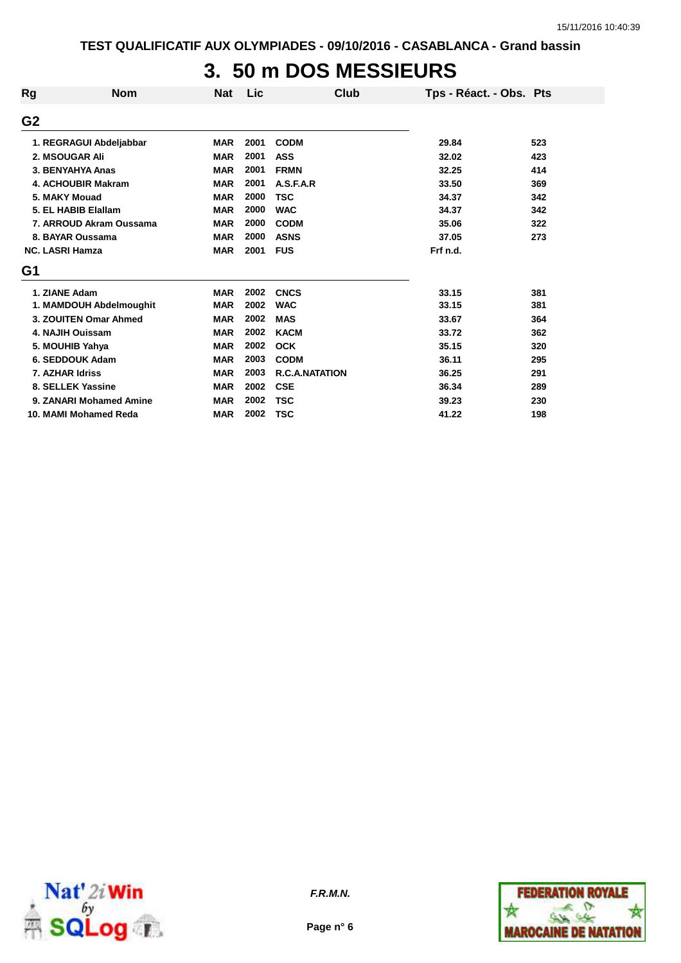## **3. 50 m DOS MESSIEURS**

| Rg             | <b>Nom</b>                | <b>Nat</b> | Lic  | <b>Club</b>           | Tps - Réact. - Obs. Pts |     |
|----------------|---------------------------|------------|------|-----------------------|-------------------------|-----|
| G <sub>2</sub> |                           |            |      |                       |                         |     |
|                | 1. REGRAGUI Abdeljabbar   | <b>MAR</b> | 2001 | <b>CODM</b>           | 29.84                   | 523 |
|                | 2. MSOUGAR Ali            | <b>MAR</b> | 2001 | <b>ASS</b>            | 32.02                   | 423 |
|                | 3. BENYAHYA Anas          | <b>MAR</b> | 2001 | <b>FRMN</b>           | 32.25                   | 414 |
|                | <b>4. ACHOUBIR Makram</b> | <b>MAR</b> | 2001 | A.S.F.A.R             | 33.50                   | 369 |
|                | 5. MAKY Mouad             | <b>MAR</b> | 2000 | <b>TSC</b>            | 34.37                   | 342 |
|                | 5. EL HABIB Elallam       | <b>MAR</b> | 2000 | <b>WAC</b>            | 34.37                   | 342 |
|                | 7. ARROUD Akram Oussama   | <b>MAR</b> | 2000 | <b>CODM</b>           | 35.06                   | 322 |
|                | 8. BAYAR Oussama          | <b>MAR</b> | 2000 | <b>ASNS</b>           | 37.05                   | 273 |
|                | <b>NC. LASRI Hamza</b>    | <b>MAR</b> | 2001 | <b>FUS</b>            | Frf n.d.                |     |
| G1             |                           |            |      |                       |                         |     |
|                | 1. ZIANE Adam             | <b>MAR</b> | 2002 | <b>CNCS</b>           | 33.15                   | 381 |
|                | 1. MAMDOUH Abdelmoughit   | <b>MAR</b> | 2002 | <b>WAC</b>            | 33.15                   | 381 |
|                | 3. ZOUITEN Omar Ahmed     | <b>MAR</b> | 2002 | <b>MAS</b>            | 33.67                   | 364 |
|                | 4. NAJIH Ouissam          | <b>MAR</b> | 2002 | <b>KACM</b>           | 33.72                   | 362 |
|                | 5. MOUHIB Yahya           | <b>MAR</b> | 2002 | <b>OCK</b>            | 35.15                   | 320 |
|                | 6. SEDDOUK Adam           | <b>MAR</b> | 2003 | <b>CODM</b>           | 36.11                   | 295 |
|                | 7. AZHAR Idriss           | <b>MAR</b> | 2003 | <b>R.C.A.NATATION</b> | 36.25                   | 291 |
|                | 8. SELLEK Yassine         | <b>MAR</b> | 2002 | <b>CSE</b>            | 36.34                   | 289 |
|                | 9. ZANARI Mohamed Amine   | <b>MAR</b> | 2002 | <b>TSC</b>            | 39.23                   | 230 |
|                | 10. MAMI Mohamed Reda     | <b>MAR</b> | 2002 | <b>TSC</b>            | 41.22                   | 198 |





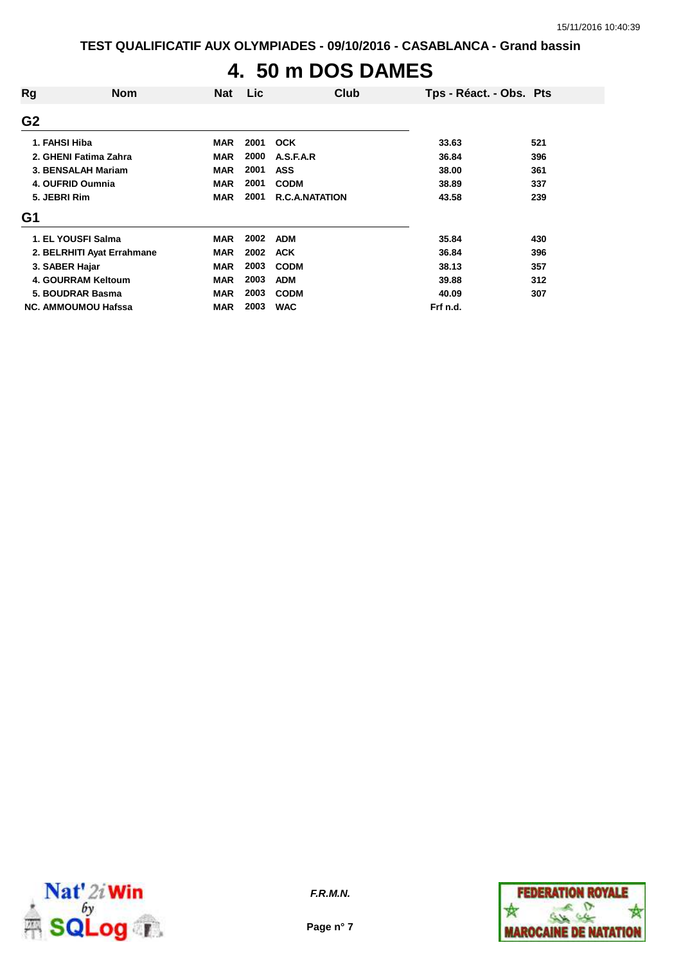# **4. 50 m DOS DAMES**

| Rg             | <b>Nom</b>                 | <b>Nat</b> | Lic  | Club                  | Tps - Réact. - Obs. Pts |     |
|----------------|----------------------------|------------|------|-----------------------|-------------------------|-----|
| G <sub>2</sub> |                            |            |      |                       |                         |     |
|                | 1. FAHSI Hiba              | <b>MAR</b> | 2001 | <b>OCK</b>            | 33.63                   | 521 |
|                | 2. GHENI Fatima Zahra      | <b>MAR</b> | 2000 | A.S.F.A.R             | 36.84                   | 396 |
|                | 3. BENSALAH Mariam         | <b>MAR</b> | 2001 | <b>ASS</b>            | 38.00                   | 361 |
|                | 4. OUFRID Oumnia           | <b>MAR</b> | 2001 | <b>CODM</b>           | 38.89                   | 337 |
|                | 5. JEBRI Rim               | <b>MAR</b> | 2001 | <b>R.C.A.NATATION</b> | 43.58                   | 239 |
| G1             |                            |            |      |                       |                         |     |
|                | 1. EL YOUSFI Salma         | <b>MAR</b> | 2002 | <b>ADM</b>            | 35.84                   | 430 |
|                | 2. BELRHITI Ayat Errahmane | <b>MAR</b> | 2002 | <b>ACK</b>            | 36.84                   | 396 |
|                | 3. SABER Hajar             | <b>MAR</b> | 2003 | <b>CODM</b>           | 38.13                   | 357 |
|                | 4. GOURRAM Keltoum         | <b>MAR</b> | 2003 | <b>ADM</b>            | 39.88                   | 312 |
|                | 5. BOUDRAR Basma           | <b>MAR</b> | 2003 | <b>CODM</b>           | 40.09                   | 307 |
|                | <b>NC. AMMOUMOU Hafssa</b> | <b>MAR</b> | 2003 | <b>WAC</b>            | Frf n.d.                |     |



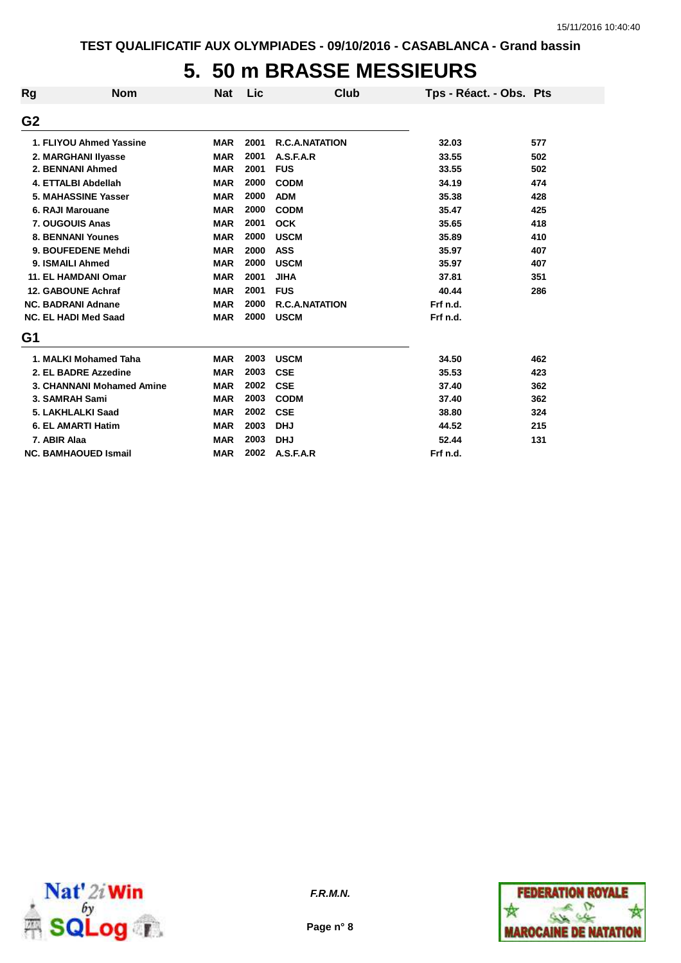## **5. 50 m BRASSE MESSIEURS**

| Rg             | <b>Nom</b>                  | <b>Nat</b> | Lic  | Club                  | Tps - Réact. - Obs. Pts |     |
|----------------|-----------------------------|------------|------|-----------------------|-------------------------|-----|
| G <sub>2</sub> |                             |            |      |                       |                         |     |
|                | 1. FLIYOU Ahmed Yassine     | <b>MAR</b> | 2001 | <b>R.C.A.NATATION</b> | 32.03                   | 577 |
|                | 2. MARGHANI IIyasse         | <b>MAR</b> | 2001 | A.S.F.A.R             | 33.55                   | 502 |
|                | 2. BENNANI Ahmed            | <b>MAR</b> | 2001 | <b>FUS</b>            | 33.55                   | 502 |
|                | 4. ETTALBI Abdellah         | <b>MAR</b> | 2000 | <b>CODM</b>           | 34.19                   | 474 |
|                | 5. MAHASSINE Yasser         | <b>MAR</b> | 2000 | <b>ADM</b>            | 35.38                   | 428 |
|                | 6. RAJI Marouane            | <b>MAR</b> | 2000 | <b>CODM</b>           | 35.47                   | 425 |
|                | 7. OUGOUIS Anas             | <b>MAR</b> | 2001 | <b>OCK</b>            | 35.65                   | 418 |
|                | <b>8. BENNANI Younes</b>    | <b>MAR</b> | 2000 | <b>USCM</b>           | 35.89                   | 410 |
|                | 9. BOUFEDENE Mehdi          | <b>MAR</b> | 2000 | <b>ASS</b>            | 35.97                   | 407 |
|                | 9. ISMAILI Ahmed            | <b>MAR</b> | 2000 | <b>USCM</b>           | 35.97                   | 407 |
|                | <b>11. EL HAMDANI Omar</b>  | <b>MAR</b> | 2001 | <b>JIHA</b>           | 37.81                   | 351 |
|                | 12. GABOUNE Achraf          | <b>MAR</b> | 2001 | <b>FUS</b>            | 40.44                   | 286 |
|                | <b>NC. BADRANI Adnane</b>   | <b>MAR</b> | 2000 | <b>R.C.A.NATATION</b> | Frf n.d.                |     |
|                | <b>NC. EL HADI Med Saad</b> | <b>MAR</b> | 2000 | <b>USCM</b>           | Frf n.d.                |     |
| G1             |                             |            |      |                       |                         |     |
|                | 1. MALKI Mohamed Taha       | <b>MAR</b> | 2003 | <b>USCM</b>           | 34.50                   | 462 |
|                | 2. EL BADRE Azzedine        | <b>MAR</b> | 2003 | <b>CSE</b>            | 35.53                   | 423 |
|                | 3. CHANNANI Mohamed Amine   | <b>MAR</b> | 2002 | <b>CSE</b>            | 37.40                   | 362 |
|                | 3. SAMRAH Sami              | <b>MAR</b> | 2003 | <b>CODM</b>           | 37.40                   | 362 |
|                | 5. LAKHLALKI Saad           | <b>MAR</b> | 2002 | <b>CSE</b>            | 38.80                   | 324 |
|                | <b>6. EL AMARTI Hatim</b>   | <b>MAR</b> | 2003 | <b>DHJ</b>            | 44.52                   | 215 |
| 7. ABIR Alaa   |                             | <b>MAR</b> | 2003 | <b>DHJ</b>            | 52.44                   | 131 |
|                | <b>NC. BAMHAOUED Ismail</b> | <b>MAR</b> | 2002 | A.S.F.A.R             | Frf n.d.                |     |



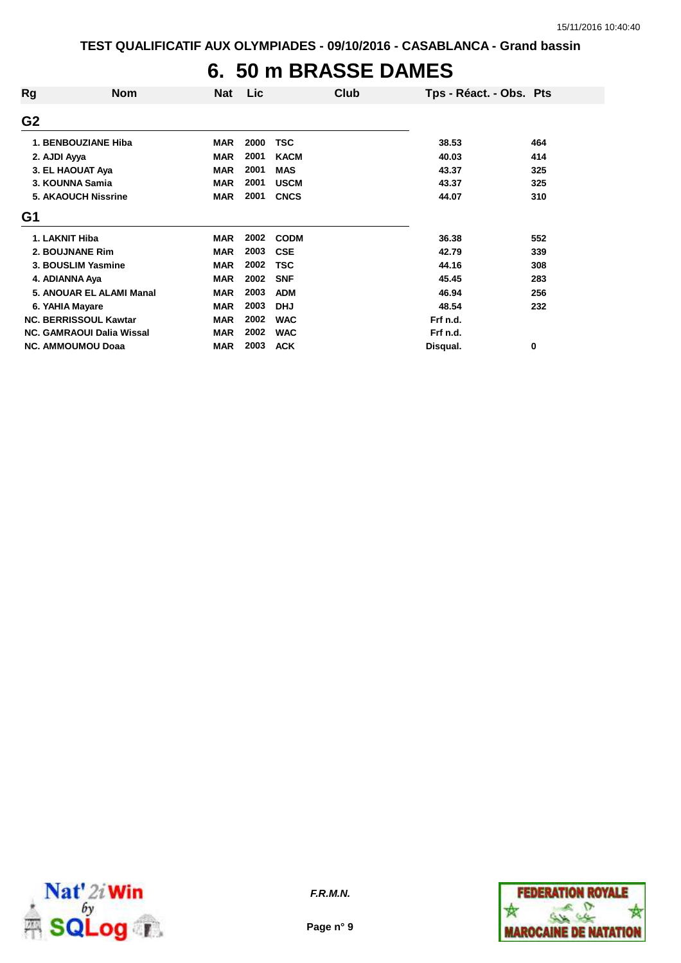#### **6. 50 m BRASSE DAMES**

| Rg              | <b>Nom</b>                       | <b>Nat</b> | Lic  | Club        | Tps - Réact. - Obs. Pts |     |
|-----------------|----------------------------------|------------|------|-------------|-------------------------|-----|
| G <sub>2</sub>  |                                  |            |      |             |                         |     |
|                 | 1. BENBOUZIANE Hiba              | <b>MAR</b> | 2000 | TSC         | 38.53                   | 464 |
| 2. AJDI Ayya    |                                  | <b>MAR</b> | 2001 | <b>KACM</b> | 40.03                   | 414 |
|                 | 3. EL HAOUAT Aya                 | <b>MAR</b> | 2001 | <b>MAS</b>  | 43.37                   | 325 |
|                 | 3. KOUNNA Samia                  | <b>MAR</b> | 2001 | <b>USCM</b> | 43.37                   | 325 |
|                 | <b>5. AKAOUCH Nissrine</b>       | <b>MAR</b> | 2001 | <b>CNCS</b> | 44.07                   | 310 |
| G <sub>1</sub>  |                                  |            |      |             |                         |     |
| 1. LAKNIT Hiba  |                                  | <b>MAR</b> | 2002 | <b>CODM</b> | 36.38                   | 552 |
|                 | 2. BOUJNANE Rim                  | <b>MAR</b> | 2003 | <b>CSE</b>  | 42.79                   | 339 |
|                 | 3. BOUSLIM Yasmine               | <b>MAR</b> | 2002 | <b>TSC</b>  | 44.16                   | 308 |
| 4. ADIANNA Aya  |                                  | <b>MAR</b> | 2002 | <b>SNF</b>  | 45.45                   | 283 |
|                 | 5. ANOUAR EL ALAMI Manal         | <b>MAR</b> | 2003 | <b>ADM</b>  | 46.94                   | 256 |
| 6. YAHIA Mayare |                                  | <b>MAR</b> | 2003 | <b>DHJ</b>  | 48.54                   | 232 |
|                 | <b>NC. BERRISSOUL Kawtar</b>     | <b>MAR</b> | 2002 | <b>WAC</b>  | Frf n.d.                |     |
|                 | <b>NC. GAMRAOUI Dalia Wissal</b> | <b>MAR</b> | 2002 | <b>WAC</b>  | Frf n.d.                |     |
|                 | <b>NC. AMMOUMOU Doaa</b>         | <b>MAR</b> | 2003 | <b>ACK</b>  | Disqual.                | 0   |



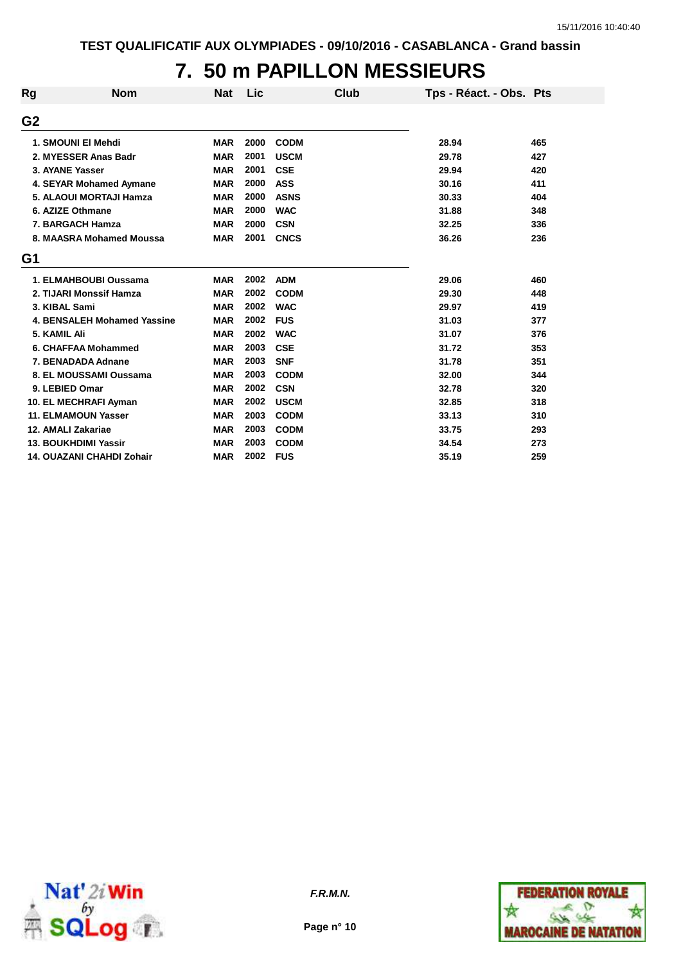# **7. 50 m PAPILLON MESSIEURS**

| Rg             | <b>Nom</b>                         | <b>Nat</b> | Lic  | Club        | Tps - Réact. - Obs. Pts |     |
|----------------|------------------------------------|------------|------|-------------|-------------------------|-----|
| G <sub>2</sub> |                                    |            |      |             |                         |     |
|                | 1. SMOUNI EI Mehdi                 | <b>MAR</b> | 2000 | <b>CODM</b> | 28.94                   | 465 |
|                | 2. MYESSER Anas Badr               | <b>MAR</b> | 2001 | <b>USCM</b> | 29.78                   | 427 |
|                | 3. AYANE Yasser                    | <b>MAR</b> | 2001 | <b>CSE</b>  | 29.94                   | 420 |
|                | 4. SEYAR Mohamed Aymane            | <b>MAR</b> | 2000 | <b>ASS</b>  | 30.16                   | 411 |
|                | 5. ALAOUI MORTAJI Hamza            | <b>MAR</b> | 2000 | <b>ASNS</b> | 30.33                   | 404 |
|                | 6. AZIZE Othmane                   | <b>MAR</b> | 2000 | <b>WAC</b>  | 31.88                   | 348 |
|                | 7. BARGACH Hamza                   | <b>MAR</b> | 2000 | <b>CSN</b>  | 32.25                   | 336 |
|                | 8. MAASRA Mohamed Moussa           | <b>MAR</b> | 2001 | <b>CNCS</b> | 36.26                   | 236 |
| G1             |                                    |            |      |             |                         |     |
|                | 1. ELMAHBOUBI Oussama              | <b>MAR</b> | 2002 | <b>ADM</b>  | 29.06                   | 460 |
|                | 2. TIJARI Monssif Hamza            | <b>MAR</b> | 2002 | <b>CODM</b> | 29.30                   | 448 |
|                | 3. KIBAL Sami                      | <b>MAR</b> | 2002 | <b>WAC</b>  | 29.97                   | 419 |
|                | <b>4. BENSALEH Mohamed Yassine</b> | <b>MAR</b> | 2002 | <b>FUS</b>  | 31.03                   | 377 |
| 5. KAMIL Ali   |                                    | <b>MAR</b> | 2002 | <b>WAC</b>  | 31.07                   | 376 |
|                | 6. CHAFFAA Mohammed                | <b>MAR</b> | 2003 | <b>CSE</b>  | 31.72                   | 353 |
|                | 7. BENADADA Adnane                 | <b>MAR</b> | 2003 | <b>SNF</b>  | 31.78                   | 351 |
|                | 8. EL MOUSSAMI Oussama             | <b>MAR</b> | 2003 | <b>CODM</b> | 32.00                   | 344 |
|                | 9. LEBIED Omar                     | <b>MAR</b> | 2002 | <b>CSN</b>  | 32.78                   | 320 |
|                | 10. EL MECHRAFI Ayman              | <b>MAR</b> | 2002 | <b>USCM</b> | 32.85                   | 318 |
|                | <b>11. ELMAMOUN Yasser</b>         | <b>MAR</b> | 2003 | <b>CODM</b> | 33.13                   | 310 |
|                | 12. AMALI Zakariae                 | <b>MAR</b> | 2003 | <b>CODM</b> | 33.75                   | 293 |
|                | <b>13. BOUKHDIMI Yassir</b>        | <b>MAR</b> | 2003 | <b>CODM</b> | 34.54                   | 273 |
|                | <b>14. OUAZANI CHAHDI Zohair</b>   | <b>MAR</b> | 2002 | <b>FUS</b>  | 35.19                   | 259 |



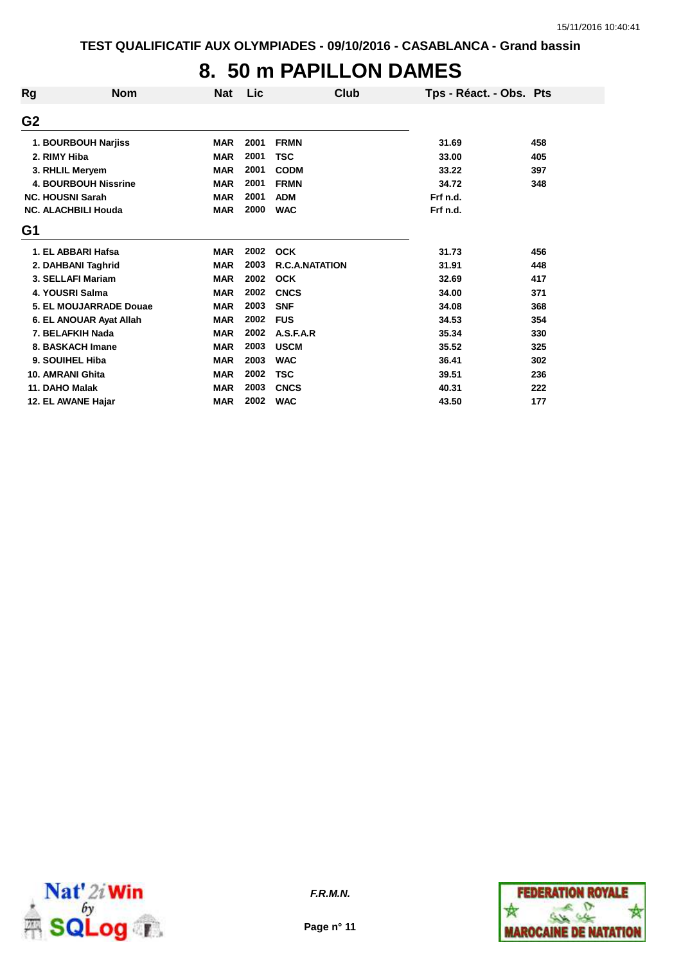## **8. 50 m PAPILLON DAMES**

| Rg                      | <b>Nom</b>                  | <b>Nat</b> | Lic  | Club                  | Tps - Réact. - Obs. Pts |     |
|-------------------------|-----------------------------|------------|------|-----------------------|-------------------------|-----|
| G <sub>2</sub>          |                             |            |      |                       |                         |     |
|                         | 1. BOURBOUH Narjiss         | <b>MAR</b> | 2001 | <b>FRMN</b>           | 31.69                   | 458 |
| 2. RIMY Hiba            |                             | <b>MAR</b> | 2001 | <b>TSC</b>            | 33.00                   | 405 |
|                         | 3. RHLIL Meryem             | <b>MAR</b> | 2001 | <b>CODM</b>           | 33.22                   | 397 |
|                         | <b>4. BOURBOUH Nissrine</b> | <b>MAR</b> | 2001 | <b>FRMN</b>           | 34.72                   | 348 |
| <b>NC. HOUSNI Sarah</b> |                             | <b>MAR</b> | 2001 | <b>ADM</b>            | Frf n.d.                |     |
|                         | <b>NC. ALACHBILI Houda</b>  | <b>MAR</b> | 2000 | <b>WAC</b>            | Frf n.d.                |     |
| G1                      |                             |            |      |                       |                         |     |
|                         | 1. EL ABBARI Hafsa          | <b>MAR</b> | 2002 | <b>OCK</b>            | 31.73                   | 456 |
|                         | 2. DAHBANI Taghrid          | <b>MAR</b> | 2003 | <b>R.C.A.NATATION</b> | 31.91                   | 448 |
|                         | 3. SELLAFI Mariam           | <b>MAR</b> | 2002 | <b>OCK</b>            | 32.69                   | 417 |
|                         | 4. YOUSRI Salma             | <b>MAR</b> | 2002 | <b>CNCS</b>           | 34.00                   | 371 |
|                         | 5. EL MOUJARRADE Douae      | <b>MAR</b> | 2003 | <b>SNF</b>            | 34.08                   | 368 |
|                         | 6. EL ANOUAR Ayat Allah     | <b>MAR</b> | 2002 | <b>FUS</b>            | 34.53                   | 354 |
|                         | 7. BELAFKIH Nada            | <b>MAR</b> | 2002 | A.S.F.A.R             | 35.34                   | 330 |
|                         | 8. BASKACH Imane            | <b>MAR</b> | 2003 | <b>USCM</b>           | 35.52                   | 325 |
|                         | 9. SOUIHEL Hiba             | <b>MAR</b> | 2003 | <b>WAC</b>            | 36.41                   | 302 |
| 10. AMRANI Ghita        |                             | <b>MAR</b> | 2002 | <b>TSC</b>            | 39.51                   | 236 |
| 11. DAHO Malak          |                             | <b>MAR</b> | 2003 | <b>CNCS</b>           | 40.31                   | 222 |
|                         | 12. EL AWANE Hajar          | <b>MAR</b> | 2002 | <b>WAC</b>            | 43.50                   | 177 |



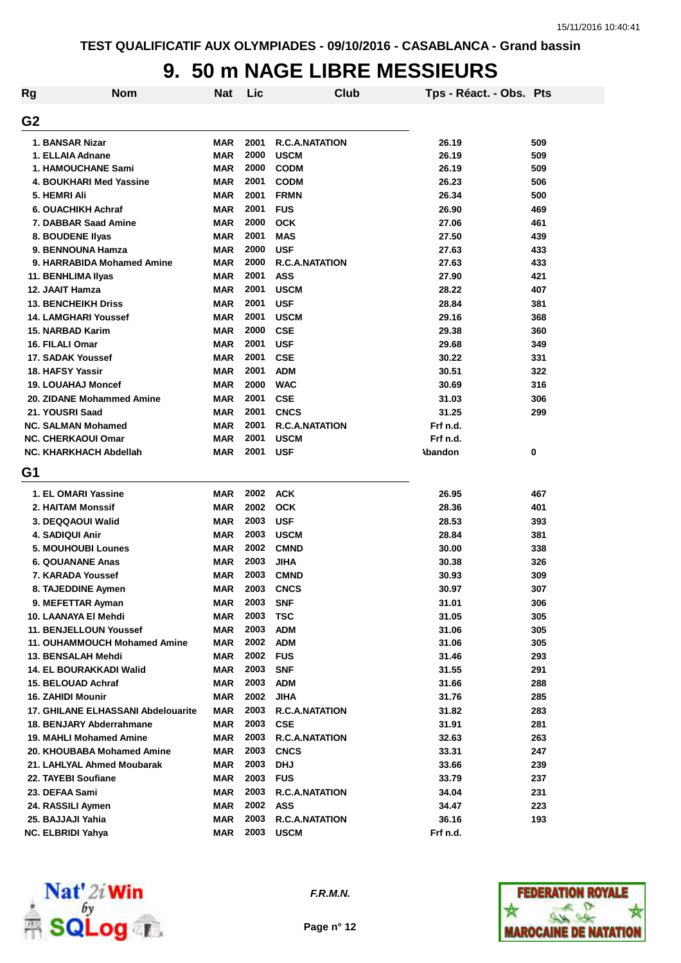#### **9. 50 m NAGE LIBRE MESSIEURS**

| Rg             | <b>Nom</b>                         | <b>Nat</b> | Lic  | Club                  | Tps - Réact. - Obs. Pts |     |
|----------------|------------------------------------|------------|------|-----------------------|-------------------------|-----|
| G <sub>2</sub> |                                    |            |      |                       |                         |     |
|                | 1. BANSAR Nizar                    | <b>MAR</b> | 2001 | <b>R.C.A.NATATION</b> | 26.19                   | 509 |
|                | 1. ELLAIA Adnane                   | <b>MAR</b> | 2000 | <b>USCM</b>           | 26.19                   | 509 |
|                | <b>1. HAMOUCHANE Sami</b>          | <b>MAR</b> | 2000 | <b>CODM</b>           | 26.19                   | 509 |
|                | 4. BOUKHARI Med Yassine            | <b>MAR</b> | 2001 | <b>CODM</b>           | 26.23                   | 506 |
|                | 5. HEMRI Ali                       | <b>MAR</b> | 2001 | <b>FRMN</b>           | 26.34                   | 500 |
|                | 6. OUACHIKH Achraf                 | <b>MAR</b> | 2001 | <b>FUS</b>            | 26.90                   | 469 |
|                | 7. DABBAR Saad Amine               | <b>MAR</b> | 2000 | <b>OCK</b>            | 27.06                   | 461 |
|                | 8. BOUDENE Ilyas                   | <b>MAR</b> | 2001 | <b>MAS</b>            | 27.50                   | 439 |
|                | 9. BENNOUNA Hamza                  | <b>MAR</b> | 2000 | <b>USF</b>            | 27.63                   | 433 |
|                | 9. HARRABIDA Mohamed Amine         | <b>MAR</b> | 2000 | <b>R.C.A.NATATION</b> | 27.63                   | 433 |
|                | 11. BENHLIMA Ilyas                 | <b>MAR</b> | 2001 | <b>ASS</b>            | 27.90                   | 421 |
|                | 12. JAAIT Hamza                    | <b>MAR</b> | 2001 | <b>USCM</b>           | 28.22                   | 407 |
|                | <b>13. BENCHEIKH Driss</b>         | <b>MAR</b> | 2001 | <b>USF</b>            | 28.84                   | 381 |
|                | <b>14. LAMGHARI Youssef</b>        | <b>MAR</b> | 2001 | <b>USCM</b>           | 29.16                   | 368 |
|                | <b>15. NARBAD Karim</b>            | <b>MAR</b> | 2000 | <b>CSE</b>            | 29.38                   | 360 |
|                | 16. FILALI Omar                    | <b>MAR</b> | 2001 | <b>USF</b>            | 29.68                   | 349 |
|                | 17. SADAK Youssef                  | <b>MAR</b> | 2001 | <b>CSE</b>            | 30.22                   | 331 |
|                | <b>18. HAFSY Yassir</b>            | <b>MAR</b> | 2001 | <b>ADM</b>            | 30.51                   | 322 |
|                | <b>19. LOUAHAJ Moncef</b>          | <b>MAR</b> | 2000 | <b>WAC</b>            | 30.69                   | 316 |
|                | 20. ZIDANE Mohammed Amine          | <b>MAR</b> | 2001 | <b>CSE</b>            | 31.03                   | 306 |
|                | 21. YOUSRI Saad                    | <b>MAR</b> | 2001 | <b>CNCS</b>           | 31.25                   | 299 |
|                | <b>NC. SALMAN Mohamed</b>          | <b>MAR</b> | 2001 | <b>R.C.A.NATATION</b> | Frf n.d.                |     |
|                | <b>NC. CHERKAOUI Omar</b>          | <b>MAR</b> | 2001 | <b>USCM</b>           | Frf n.d.                |     |
|                | NC. KHARKHACH Abdellah             | <b>MAR</b> | 2001 | <b>USF</b>            | <b>Abandon</b>          | 0   |
| G1             |                                    |            |      |                       |                         |     |
|                | 1. EL OMARI Yassine                | <b>MAR</b> | 2002 | <b>ACK</b>            | 26.95                   | 467 |
|                | <b>2. HAITAM Monssif</b>           | <b>MAR</b> | 2002 | <b>OCK</b>            | 28.36                   | 401 |
|                | 3. DEQQAOUI Walid                  | <b>MAR</b> | 2003 | <b>USF</b>            | 28.53                   | 393 |
|                | <b>4. SADIQUI Anir</b>             | <b>MAR</b> | 2003 | <b>USCM</b>           | 28.84                   | 381 |
|                | <b>5. MOUHOUBI Lounes</b>          | <b>MAR</b> | 2002 | <b>CMND</b>           | 30.00                   | 338 |
|                | <b>6. QOUANANE Anas</b>            | <b>MAR</b> | 2003 | <b>JIHA</b>           | 30.38                   | 326 |
|                | 7. KARADA Youssef                  | <b>MAR</b> | 2003 | <b>CMND</b>           | 30.93                   | 309 |
|                | 8. TAJEDDINE Aymen                 | <b>MAR</b> | 2003 | <b>CNCS</b>           | 30.97                   | 307 |
|                | 9. MEFETTAR Ayman                  | MAR        | 2003 | <b>SNF</b>            | 31.01                   | 306 |
|                | 10. LAANAYA EI Mehdi               | <b>MAR</b> | 2003 | <b>TSC</b>            | 31.05                   | 305 |
|                | 11. BENJELLOUN Youssef             | <b>MAR</b> | 2003 | <b>ADM</b>            | 31.06                   | 305 |
|                | 11. OUHAMMOUCH Mohamed Amine       | MAR        | 2002 | <b>ADM</b>            | 31.06                   | 305 |
|                | 13. BENSALAH Mehdi                 | MAR        | 2002 | <b>FUS</b>            | 31.46                   | 293 |
|                | 14. EL BOURAKKADI Walid            | MAR        | 2003 | <b>SNF</b>            | 31.55                   | 291 |
|                | 15. BELOUAD Achraf                 | <b>MAR</b> | 2003 | <b>ADM</b>            | 31.66                   | 288 |
|                | 16. ZAHIDI Mounir                  | <b>MAR</b> | 2002 | <b>JIHA</b>           | 31.76                   | 285 |
|                | 17. GHILANE ELHASSANI Abdelouarite | <b>MAR</b> | 2003 | <b>R.C.A.NATATION</b> | 31.82                   | 283 |
|                | 18. BENJARY Abderrahmane           | <b>MAR</b> | 2003 | <b>CSE</b>            | 31.91                   | 281 |
|                | 19. MAHLI Mohamed Amine            | <b>MAR</b> | 2003 | <b>R.C.A.NATATION</b> | 32.63                   | 263 |
|                | 20. KHOUBABA Mohamed Amine         | <b>MAR</b> | 2003 | <b>CNCS</b>           | 33.31                   | 247 |
|                | 21. LAHLYAL Ahmed Moubarak         | <b>MAR</b> | 2003 | <b>DHJ</b>            | 33.66                   | 239 |
|                | 22. TAYEBI Soufiane                | <b>MAR</b> | 2003 | <b>FUS</b>            | 33.79                   | 237 |
|                | 23. DEFAA Sami                     | <b>MAR</b> | 2003 | <b>R.C.A.NATATION</b> | 34.04                   | 231 |
|                | 24. RASSILI Aymen                  | <b>MAR</b> | 2002 | <b>ASS</b>            | 34.47                   | 223 |
|                | 25. BAJJAJI Yahia                  | <b>MAR</b> | 2003 | <b>R.C.A.NATATION</b> | 36.16                   | 193 |
|                | NC. ELBRIDI Yahya                  | <b>MAR</b> | 2003 | <b>USCM</b>           | Frf n.d.                |     |



**F.R.M.N.**